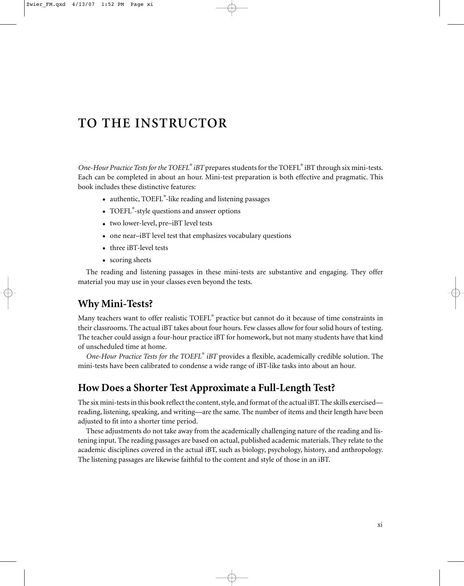# **TO THE INSTRUCTOR**

*One-Hour Practice Tests for the TOEFL® iBT* prepares students for the TOEFL® iBT through six mini-tests. Each can be completed in about an hour. Mini-test preparation is both effective and pragmatic. This book includes these distinctive features:

- authentic, TOEFL*®* -like reading and listening passages
- TOEFL*®* -style questions and answer options
- two lower-level, pre–iBT level tests
- one near-iBT level test that emphasizes vocabulary questions
- three iBT-level tests
- scoring sheets

The reading and listening passages in these mini-tests are substantive and engaging. They offer material you may use in your classes even beyond the tests.

### **Why Mini-Tests?**

Many teachers want to offer realistic TOEFL® practice but cannot do it because of time constraints in their classrooms. The actual iBT takes about four hours. Few classes allow for four solid hours of testing. The teacher could assign a four-hour practice iBT for homework, but not many students have that kind of unscheduled time at home.

*One-Hour Practice Tests for the TOEFL® iBT* provides a flexible, academically credible solution. The mini-tests have been calibrated to condense a wide range of iBT-like tasks into about an hour.

# **How Does a Shorter Test Approximate a Full-Length Test?**

The six mini-tests in this book reflect the content, style, and format of the actual iBT. The skills exercised reading, listening, speaking, and writing—are the same. The number of items and their length have been adjusted to fit into a shorter time period.

These adjustments do not take away from the academically challenging nature of the reading and listening input. The reading passages are based on actual, published academic materials. They relate to the academic disciplines covered in the actual iBT, such as biology, psychology, history, and anthropology. The listening passages are likewise faithful to the content and style of those in an iBT.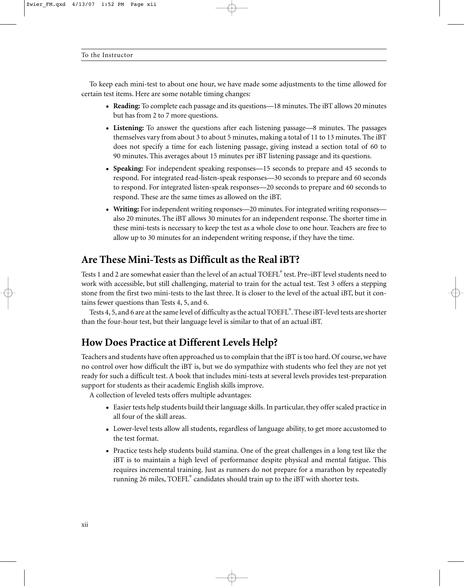To keep each mini-test to about one hour, we have made some adjustments to the time allowed for certain test items. Here are some notable timing changes:

- **Reading:** To complete each passage and its questions—18 minutes. The iBT allows 20 minutes but has from 2 to 7 more questions.
- **Listening:** To answer the questions after each listening passage—8 minutes. The passages themselves vary from about 3 to about 5 minutes, making a total of 11 to 13 minutes. The iBT does not specify a time for each listening passage, giving instead a section total of 60 to 90 minutes. This averages about 15 minutes per iBT listening passage and its questions.
- **Speaking:** For independent speaking responses—15 seconds to prepare and 45 seconds to respond. For integrated read-listen-speak responses—30 seconds to prepare and 60 seconds to respond. For integrated listen-speak responses—20 seconds to prepare and 60 seconds to respond. These are the same times as allowed on the iBT.
- **Writing:** For independent writing responses—20 minutes. For integrated writing responses also 20 minutes. The iBT allows 30 minutes for an independent response. The shorter time in these mini-tests is necessary to keep the test as a whole close to one hour. Teachers are free to allow up to 30 minutes for an independent writing response, if they have the time.

# **Are These Mini-Tests as Difficult as the Real iBT?**

Tests 1 and 2 are somewhat easier than the level of an actual TOEFL® test. Pre–iBT level students need to work with accessible, but still challenging, material to train for the actual test. Test 3 offers a stepping stone from the first two mini-tests to the last three. It is closer to the level of the actual iBT, but it contains fewer questions than Tests 4, 5, and 6.

Tests 4, 5, and 6 are at the same level of difficulty as the actual TOEFL® . These iBT-level tests are shorter than the four-hour test, but their language level is similar to that of an actual iBT.

# **How Does Practice at Different Levels Help?**

Teachers and students have often approached us to complain that the iBT is too hard. Of course, we have no control over how difficult the iBT is, but we do sympathize with students who feel they are not yet ready for such a difficult test. A book that includes mini-tests at several levels provides test-preparation support for students as their academic English skills improve.

A collection of leveled tests offers multiple advantages:

- Easier tests help students build their language skills. In particular, they offer scaled practice in all four of the skill areas.
- Lower-level tests allow all students, regardless of language ability, to get more accustomed to the test format.
- Practice tests help students build stamina. One of the great challenges in a long test like the iBT is to maintain a high level of performance despite physical and mental fatigue. This requires incremental training. Just as runners do not prepare for a marathon by repeatedly running 26 miles, TOEFL® candidates should train up to the iBT with shorter tests.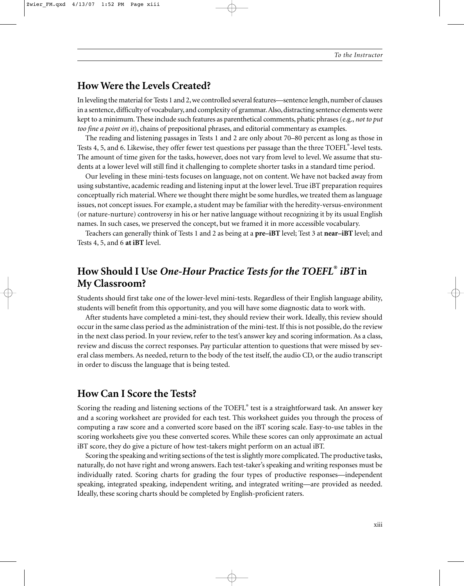# **How Were the Levels Created?**

In leveling the material for Tests 1 and 2, we controlled several features—sentence length, number of clauses in a sentence, difficulty of vocabulary, and complexity of grammar.Also, distracting sentence elements were kept to a minimum. These include such features as parenthetical comments, phatic phrases (e.g., *not to put too fine a point on it*), chains of prepositional phrases, and editorial commentary as examples.

The reading and listening passages in Tests 1 and 2 are only about 70–80 percent as long as those in Tests 4, 5, and 6. Likewise, they offer fewer test questions per passage than the three TOEFL®-level tests. The amount of time given for the tasks, however, does not vary from level to level. We assume that students at a lower level will still find it challenging to complete shorter tasks in a standard time period.

Our leveling in these mini-tests focuses on language, not on content. We have not backed away from using substantive, academic reading and listening input at the lower level. True iBT preparation requires conceptually rich material. Where we thought there might be some hurdles, we treated them as language issues, not concept issues. For example, a student may be familiar with the heredity-versus-environment (or nature-nurture) controversy in his or her native language without recognizing it by its usual English names. In such cases, we preserved the concept, but we framed it in more accessible vocabulary.

Teachers can generally think of Tests 1 and 2 as being at a **pre–iBT** level; Test 3 at **near–iBT** level; and Tests 4, 5, and 6 **at iBT** level.

# **How Should I Use** *One-Hour Practice Tests for the TOEFL® iBT* **in My Classroom?**

Students should first take one of the lower-level mini-tests. Regardless of their English language ability, students will benefit from this opportunity, and you will have some diagnostic data to work with.

After students have completed a mini-test, they should review their work. Ideally, this review should occur in the same class period as the administration of the mini-test. If this is not possible, do the review in the next class period. In your review, refer to the test's answer key and scoring information. As a class, review and discuss the correct responses. Pay particular attention to questions that were missed by several class members. As needed, return to the body of the test itself, the audio CD, or the audio transcript in order to discuss the language that is being tested.

### **How Can I Score the Tests?**

Scoring the reading and listening sections of the TOEFL® test is a straightforward task. An answer key and a scoring worksheet are provided for each test. This worksheet guides you through the process of computing a raw score and a converted score based on the iBT scoring scale. Easy-to-use tables in the scoring worksheets give you these converted scores. While these scores can only approximate an actual iBT score, they do give a picture of how test-takers might perform on an actual iBT.

Scoring the speaking and writing sections of the test is slightly more complicated. The productive tasks, naturally, do not have right and wrong answers. Each test-taker's speaking and writing responses must be individually rated. Scoring charts for grading the four types of productive responses—independent speaking, integrated speaking, independent writing, and integrated writing—are provided as needed. Ideally, these scoring charts should be completed by English-proficient raters.